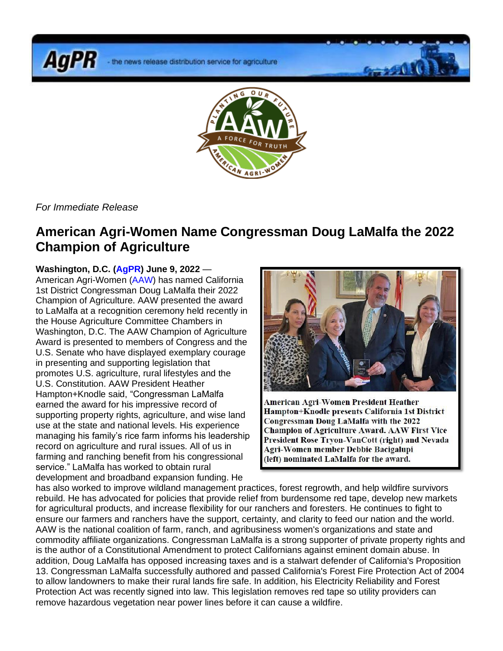**AgPR** 



*For Immediate Release*

## **American Agri-Women Name Congressman Doug LaMalfa the 2022 Champion of Agriculture**

## **Washington, D.C. (AgPR) June 9, 2022** —

American Agri-Women (AAW) has named California 1st District Congressman Doug LaMalfa their 2022 Champion of Agriculture. AAW presented the award to LaMalfa at a recognition ceremony held recently in the House Agriculture Committee Chambers in Washington, D.C. The AAW Champion of Agriculture Award is presented to members of Congress and the U.S. Senate who have displayed exemplary courage in presenting and supporting legislation that promotes U.S. agriculture, rural lifestyles and the U.S. Constitution. AAW President Heather Hampton+Knodle said, "Congressman LaMalfa earned the award for his impressive record of supporting property rights, agriculture, and wise land use at the state and national levels. His experience managing his family's rice farm informs his leadership record on agriculture and rural issues. All of us in farming and ranching benefit from his congressional service." LaMalfa has worked to obtain rural development and broadband expansion funding. He



American Agri-Women President Heather Hampton+Knodle presents California 1st District Congressman Doug LaMalfa with the 2022 **Champion of Agriculture Award. AAW First Vice** President Rose Trvon-VanCott (right) and Nevada Agri-Women member Debbie Bacigalupi (left) nominated LaMalfa for the award.

has also worked to improve wildland management practices, forest regrowth, and help wildfire survivors rebuild. He has advocated for policies that provide relief from burdensome red tape, develop new markets for agricultural products, and increase flexibility for our ranchers and foresters. He continues to fight to ensure our farmers and ranchers have the support, certainty, and clarity to feed our nation and the world. AAW is the national coalition of farm, ranch, and agribusiness women's organizations and state and commodity affiliate organizations. Congressman LaMalfa is a strong supporter of private property rights and is the author of a Constitutional Amendment to protect Californians against eminent domain abuse. In addition, Doug LaMalfa has opposed increasing taxes and is a stalwart defender of California's Proposition 13. Congressman LaMalfa successfully authored and passed California's Forest Fire Protection Act of 2004 to allow landowners to make their rural lands fire safe. In addition, his Electricity Reliability and Forest Protection Act was recently signed into law. This legislation removes red tape so utility providers can remove hazardous vegetation near power lines before it can cause a wildfire.